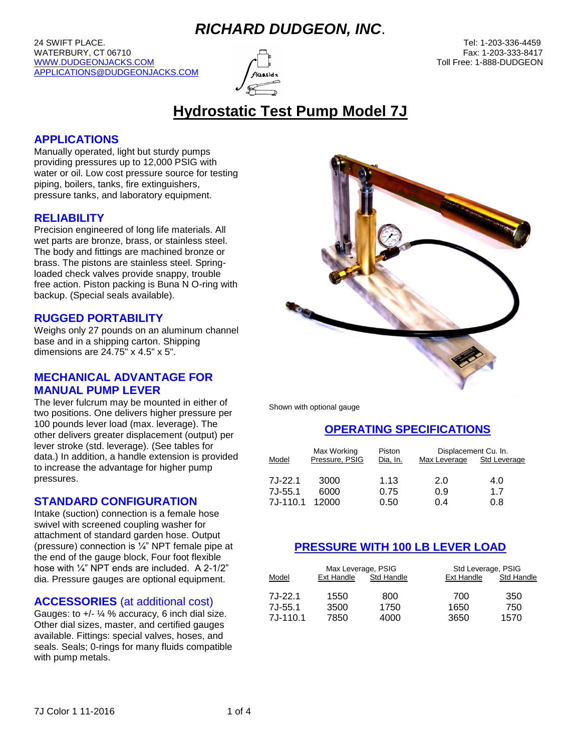24 SWIFT PLACE. Tel: 1-203-336-4459 WATERBURY, CT 06710 **Fax: 1-203-333-8417** Fax: 1-203-333-8417 [WWW.DUDGEONJACKS.COM](http://www.dudgeonjacks.com/) TO THE CONTROL TO THE CONTROL OF THE CONTROL OF THE CONTROL TO THE CONTROL OF THE CONTROL OF THE CONTROL OF THE CONTROL OF THE CONTROL OF THE CONTROL OF THE CONTROL OF THE CONTROL OF THE CONTROL OF TH [APPLICATIONS@DUDGEONJACKS.COM](mailto:APPLICATIONS@DUDGEONJACKS.COM)



# **Hydrostatic Test Pump Model 7J**

### **APPLICATIONS**

Manually operated, light but sturdy pumps providing pressures up to 12,000 PSIG with water or oil. Low cost pressure source for testing piping, boilers, tanks, fire extinguishers, pressure tanks, and laboratory equipment.

### **RELIABILITY**

Precision engineered of long life materials. All wet parts are bronze, brass, or stainless steel. The body and fittings are machined bronze or brass. The pistons are stainless steel. Springloaded check valves provide snappy, trouble free action. Piston packing is Buna N O-ring with backup. (Special seals available).

### **RUGGED PORTABILITY**

Weighs only 27 pounds on an aluminum channel base and in a shipping carton. Shipping dimensions are 24.75" x 4.5" x 5".

### **MECHANICAL ADVANTAGE FOR MANUAL PUMP LEVER**

The lever fulcrum may be mounted in either of two positions. One delivers higher pressure per 100 pounds lever load (max. leverage). The other delivers greater displacement (output) per lever stroke (std. leverage). (See tables for data.) In addition, a handle extension is provided to increase the advantage for higher pump pressures.

### **STANDARD CONFIGURATION**

Intake (suction) connection is a female hose swivel with screened coupling washer for attachment of standard garden hose. Output (pressure) connection is ¼" NPT female pipe at the end of the gauge block, Four foot flexible hose with ¼" NPT ends are included. A 2-1/2" dia. Pressure gauges are optional equipment.

### **ACCESSORIES** (at additional cost)

Gauges: to  $+/-$  ¼ % accuracy, 6 inch dial size. Other dial sizes, master, and certified gauges available. Fittings: special valves, hoses, and seals. Seals; 0-rings for many fluids compatible with pump metals.



Shown with optional gauge

### **OPERATING SPECIFICATIONS**

| Model     | Max Working<br>Pressure, PSIG | Piston<br>Dia, In. | Displacement Cu. In.<br>Max Leverage | Std Leverage |
|-----------|-------------------------------|--------------------|--------------------------------------|--------------|
| $7J-22.1$ | 3000                          | 1.13               | 2.0                                  | 4.0          |
| $7J-55.1$ | 6000                          | 0.75               | 0.9                                  | 17           |
| 7J-110.1  | 12000                         | 0.50               | 0.4                                  | 0.8          |

### **PRESSURE WITH 100 LB LEVER LOAD**

|            | Max Leverage, PSIG |            | Std Leverage, PSIG |            |
|------------|--------------------|------------|--------------------|------------|
| Model      | Ext Handle         | Std Handle | Ext Handle         | Std Handle |
| $7J-22.1$  | 1550               | 800        | 700                | 350        |
| $7J-55.1$  | 3500               | 1750       | 1650               | 750        |
| $7J-110.1$ | 7850               | 4000       | 3650               | 1570       |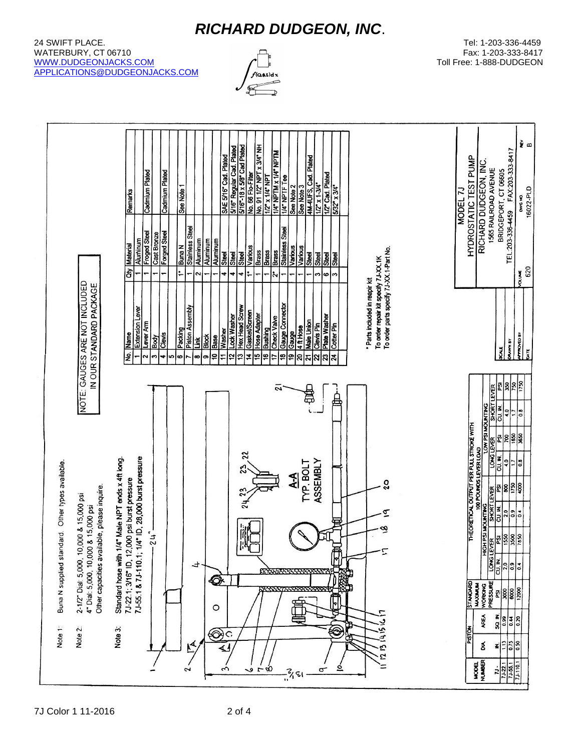#### 24 SWIFT PLACE. Tel: 1-203-336-4459 لالكات المسابق المسابق المسابق المسابق المسابق المسابق المسابق المسابق المسابق المسابق المسابق المسابق المسابق المسابق المسابق المسابق المسابق المسابق المسابق المسابق المسابق المسابق المسابق المسابق المسابق المسابق المساب [WWW.DUDGEONJACKS.COM](http://www.dudgeonjacks.com/) Toll Free: 1-888-DUDGEON [APPLICATIONS@DUDGEONJACKS.COM](mailto:APPLICATIONS@DUDGEONJACKS.COM)

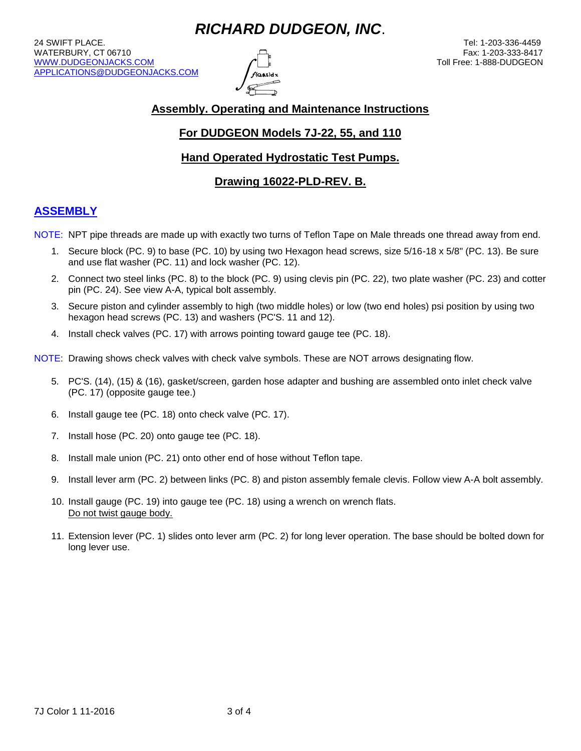24 SWIFT PLACE. Tel: 1-203-336-4459 لالكات المسابق المسابق المسابق المسابق المسابق المسابق المسابق المسابق المسابق المسابق المسابق المسابق المسابق المسابق المسابق المسابق المسابق المسابق المسابق المسابق المسابق المسابق المسابق المسابق المسابق المسابق المساب [WWW.DUDGEONJACKS.COM](http://www.dudgeonjacks.com/) Toll Free: 1-888-DUDGEON [APPLICATIONS@DUDGEONJACKS.COM](mailto:APPLICATIONS@DUDGEONJACKS.COM)



## **Assembly. Operating and Maintenance Instructions**

## **For DUDGEON Models 7J-22, 55, and 110**

### **Hand Operated Hydrostatic Test Pumps.**

### **Drawing 16022-PLD-REV. B.**

## **ASSEMBLY**

- NOTE: NPT pipe threads are made up with exactly two turns of Teflon Tape on Male threads one thread away from end.
	- 1. Secure block (PC. 9) to base (PC. 10) by using two Hexagon head screws, size 5/16-18 x 5/8" (PC. 13). Be sure and use flat washer (PC. 11) and lock washer (PC. 12).
	- 2. Connect two steel links (PC. 8) to the block (PC. 9) using clevis pin (PC. 22), two plate washer (PC. 23) and cotter pin (PC. 24). See view A-A, typical bolt assembly.
	- 3. Secure piston and cylinder assembly to high (two middle holes) or low (two end holes) psi position by using two hexagon head screws (PC. 13) and washers (PC'S. 11 and 12).
	- 4. Install check valves (PC. 17) with arrows pointing toward gauge tee (PC. 18).
- NOTE: Drawing shows check valves with check valve symbols. These are NOT arrows designating flow.
	- 5. PC'S. (14), (15) & (16), gasket/screen, garden hose adapter and bushing are assembled onto inlet check valve (PC. 17) (opposite gauge tee.)
	- 6. Install gauge tee (PC. 18) onto check valve (PC. 17).
	- 7. Install hose (PC. 20) onto gauge tee (PC. 18).
	- 8. Install male union (PC. 21) onto other end of hose without Teflon tape.
	- 9. Install lever arm (PC. 2) between links (PC. 8) and piston assembly female clevis. Follow view A-A bolt assembly.
	- 10. Install gauge (PC. 19) into gauge tee (PC. 18) using a wrench on wrench flats. Do not twist gauge body.
	- 11. Extension lever (PC. 1) slides onto lever arm (PC. 2) for long lever operation. The base should be bolted down for long lever use.